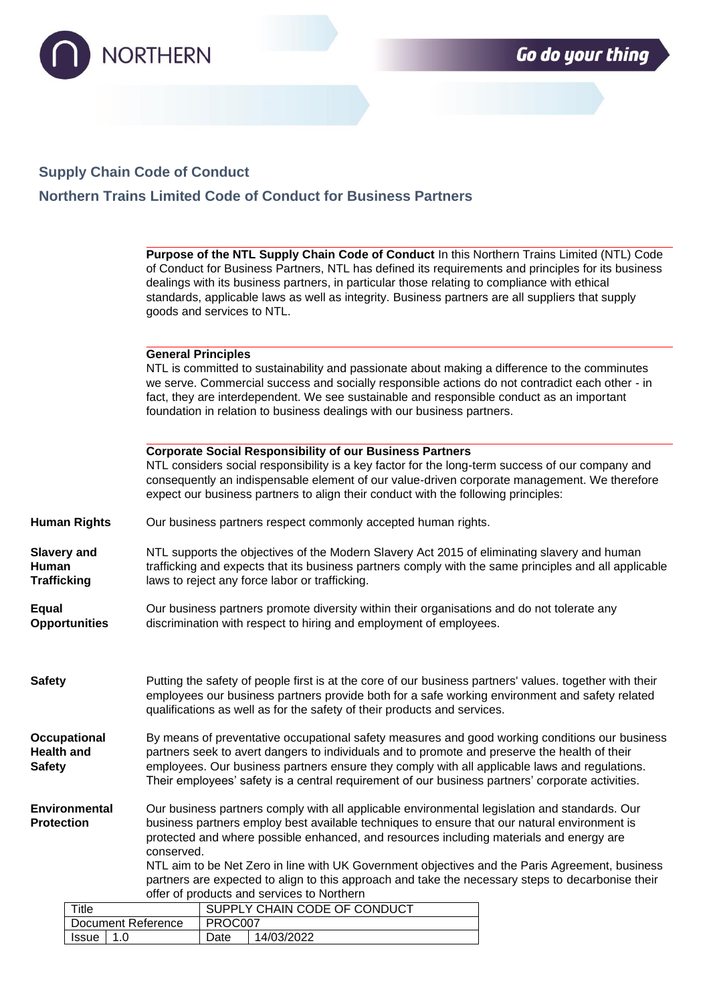

## **Supply Chain Code of Conduct**

**Northern Trains Limited Code of Conduct for Business Partners**

|                                                    |                           | Purpose of the NTL Supply Chain Code of Conduct In this Northern Trains Limited (NTL) Code<br>of Conduct for Business Partners, NTL has defined its requirements and principles for its business<br>dealings with its business partners, in particular those relating to compliance with ethical<br>standards, applicable laws as well as integrity. Business partners are all suppliers that supply<br>goods and services to NTL.                                                                                                                          |                                                                                                                                                                                                                                                                                                                                                                          |  |  |  |  |
|----------------------------------------------------|---------------------------|-------------------------------------------------------------------------------------------------------------------------------------------------------------------------------------------------------------------------------------------------------------------------------------------------------------------------------------------------------------------------------------------------------------------------------------------------------------------------------------------------------------------------------------------------------------|--------------------------------------------------------------------------------------------------------------------------------------------------------------------------------------------------------------------------------------------------------------------------------------------------------------------------------------------------------------------------|--|--|--|--|
|                                                    |                           | <b>General Principles</b>                                                                                                                                                                                                                                                                                                                                                                                                                                                                                                                                   | NTL is committed to sustainability and passionate about making a difference to the comminutes<br>we serve. Commercial success and socially responsible actions do not contradict each other - in<br>fact, they are interdependent. We see sustainable and responsible conduct as an important<br>foundation in relation to business dealings with our business partners. |  |  |  |  |
|                                                    |                           |                                                                                                                                                                                                                                                                                                                                                                                                                                                                                                                                                             | <b>Corporate Social Responsibility of our Business Partners</b><br>NTL considers social responsibility is a key factor for the long-term success of our company and<br>consequently an indispensable element of our value-driven corporate management. We therefore<br>expect our business partners to align their conduct with the following principles:                |  |  |  |  |
|                                                    | <b>Human Rights</b>       | Our business partners respect commonly accepted human rights.                                                                                                                                                                                                                                                                                                                                                                                                                                                                                               |                                                                                                                                                                                                                                                                                                                                                                          |  |  |  |  |
| <b>Slavery and</b><br>Human<br><b>Trafficking</b>  |                           | NTL supports the objectives of the Modern Slavery Act 2015 of eliminating slavery and human<br>trafficking and expects that its business partners comply with the same principles and all applicable<br>laws to reject any force labor or trafficking.                                                                                                                                                                                                                                                                                                      |                                                                                                                                                                                                                                                                                                                                                                          |  |  |  |  |
| <b>Equal</b>                                       | <b>Opportunities</b>      |                                                                                                                                                                                                                                                                                                                                                                                                                                                                                                                                                             | Our business partners promote diversity within their organisations and do not tolerate any<br>discrimination with respect to hiring and employment of employees.                                                                                                                                                                                                         |  |  |  |  |
| <b>Safety</b>                                      |                           |                                                                                                                                                                                                                                                                                                                                                                                                                                                                                                                                                             | Putting the safety of people first is at the core of our business partners' values. together with their<br>employees our business partners provide both for a safe working environment and safety related<br>qualifications as well as for the safety of their products and services.                                                                                    |  |  |  |  |
| Occupational<br><b>Health and</b><br><b>Safety</b> |                           | By means of preventative occupational safety measures and good working conditions our business<br>partners seek to avert dangers to individuals and to promote and preserve the health of their<br>employees. Our business partners ensure they comply with all applicable laws and regulations.<br>Their employees' safety is a central requirement of our business partners' corporate activities.                                                                                                                                                        |                                                                                                                                                                                                                                                                                                                                                                          |  |  |  |  |
| Environmental<br><b>Protection</b>                 |                           | Our business partners comply with all applicable environmental legislation and standards. Our<br>business partners employ best available techniques to ensure that our natural environment is<br>protected and where possible enhanced, and resources including materials and energy are<br>conserved.<br>NTL aim to be Net Zero in line with UK Government objectives and the Paris Agreement, business<br>partners are expected to align to this approach and take the necessary steps to decarbonise their<br>offer of products and services to Northern |                                                                                                                                                                                                                                                                                                                                                                          |  |  |  |  |
|                                                    | <b>Title</b>              |                                                                                                                                                                                                                                                                                                                                                                                                                                                                                                                                                             | SUPPLY CHAIN CODE OF CONDUCT                                                                                                                                                                                                                                                                                                                                             |  |  |  |  |
|                                                    | <b>Document Reference</b> |                                                                                                                                                                                                                                                                                                                                                                                                                                                                                                                                                             | PROC007                                                                                                                                                                                                                                                                                                                                                                  |  |  |  |  |
|                                                    | <b>Issue</b><br>1.0       |                                                                                                                                                                                                                                                                                                                                                                                                                                                                                                                                                             | 14/03/2022<br>Date                                                                                                                                                                                                                                                                                                                                                       |  |  |  |  |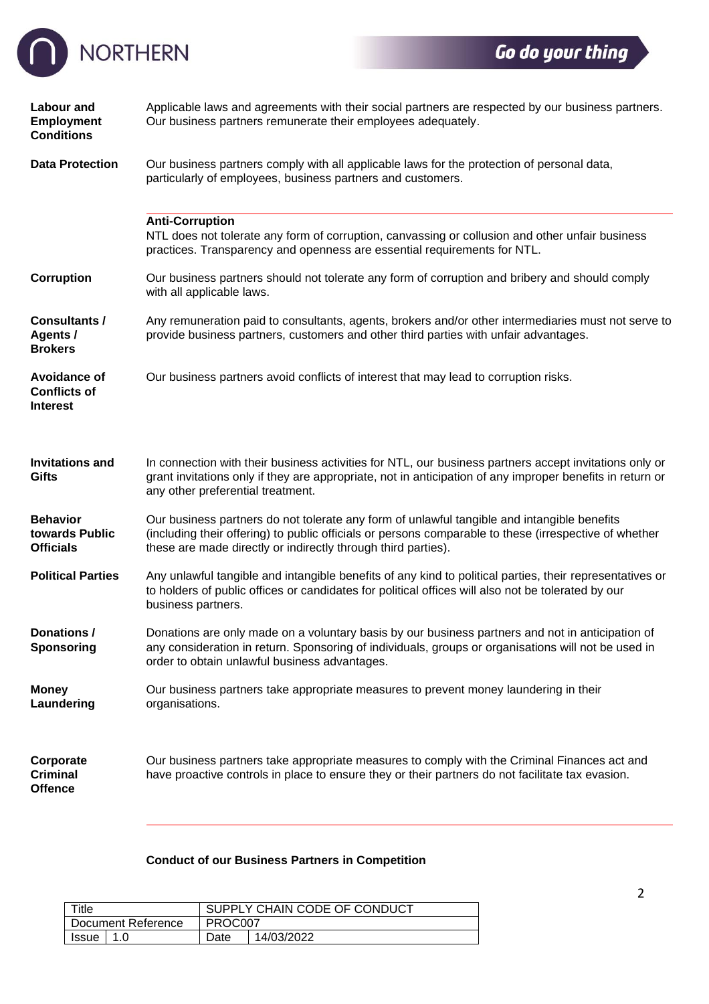

| <b>Labour and</b><br>Employment<br><b>Conditions</b>                                                                                             | Applicable laws and agreements with their social partners are respected by our business partners.<br>Our business partners remunerate their employees adequately.                                                                                                      |  |  |  |  |  |
|--------------------------------------------------------------------------------------------------------------------------------------------------|------------------------------------------------------------------------------------------------------------------------------------------------------------------------------------------------------------------------------------------------------------------------|--|--|--|--|--|
| <b>Data Protection</b>                                                                                                                           | Our business partners comply with all applicable laws for the protection of personal data,<br>particularly of employees, business partners and customers.                                                                                                              |  |  |  |  |  |
|                                                                                                                                                  | <b>Anti-Corruption</b><br>NTL does not tolerate any form of corruption, canvassing or collusion and other unfair business<br>practices. Transparency and openness are essential requirements for NTL.                                                                  |  |  |  |  |  |
| <b>Corruption</b><br>Our business partners should not tolerate any form of corruption and bribery and should comply<br>with all applicable laws. |                                                                                                                                                                                                                                                                        |  |  |  |  |  |
| <b>Consultants /</b><br>Agents /<br><b>Brokers</b>                                                                                               | Any remuneration paid to consultants, agents, brokers and/or other intermediaries must not serve to<br>provide business partners, customers and other third parties with unfair advantages.                                                                            |  |  |  |  |  |
| <b>Avoidance of</b><br><b>Conflicts of</b><br><b>Interest</b>                                                                                    | Our business partners avoid conflicts of interest that may lead to corruption risks.                                                                                                                                                                                   |  |  |  |  |  |
| <b>Invitations and</b><br><b>Gifts</b>                                                                                                           | In connection with their business activities for NTL, our business partners accept invitations only or<br>grant invitations only if they are appropriate, not in anticipation of any improper benefits in return or<br>any other preferential treatment.               |  |  |  |  |  |
| <b>Behavior</b><br>towards Public<br><b>Officials</b>                                                                                            | Our business partners do not tolerate any form of unlawful tangible and intangible benefits<br>(including their offering) to public officials or persons comparable to these (irrespective of whether<br>these are made directly or indirectly through third parties). |  |  |  |  |  |
| <b>Political Parties</b>                                                                                                                         | Any unlawful tangible and intangible benefits of any kind to political parties, their representatives or<br>to holders of public offices or candidates for political offices will also not be tolerated by our<br>business partners.                                   |  |  |  |  |  |
| Donations /<br><b>Sponsoring</b>                                                                                                                 | Donations are only made on a voluntary basis by our business partners and not in anticipation of<br>any consideration in return. Sponsoring of individuals, groups or organisations will not be used in<br>order to obtain unlawful business advantages.               |  |  |  |  |  |
| <b>Money</b><br>Laundering                                                                                                                       | Our business partners take appropriate measures to prevent money laundering in their<br>organisations.                                                                                                                                                                 |  |  |  |  |  |
| Corporate<br><b>Criminal</b><br><b>Offence</b>                                                                                                   | Our business partners take appropriate measures to comply with the Criminal Finances act and<br>have proactive controls in place to ensure they or their partners do not facilitate tax evasion.                                                                       |  |  |  |  |  |

## **Conduct of our Business Partners in Competition**

| Title              |     | SUPPLY CHAIN CODE OF CONDUCT |            |  |
|--------------------|-----|------------------------------|------------|--|
| Document Reference |     | PROC007                      |            |  |
| <b>Issue</b>       | 1.0 | Date                         | 14/03/2022 |  |